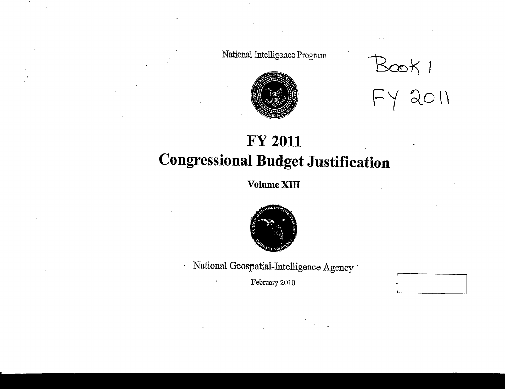National Intelligence Program



Book 1<br>FY 2011

# **FY 2011 Congressional Budget Justification**

Volume XIII



National Geospatial-Intelligence Agency

February 2010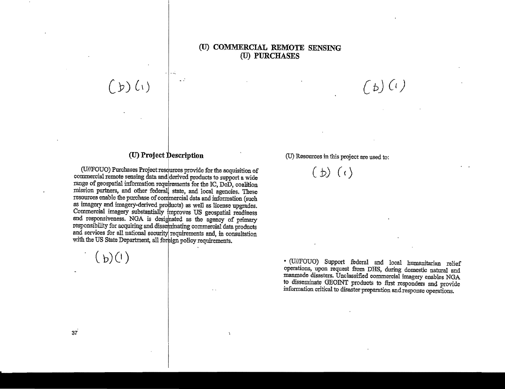### **(U) COMMERCIAL REMOTE SENSING (U) PURCHASES**

(U) **Project Description** 

 $\ddot{\phantom{0}}$ 

 $(y)(x)$ 

(U//FOUO) Purchases Project resources provide for the acquisition of commercial remote sensing data and derived products to support a wide range of geospatial information requirements for the IC, DoD, coalition mission partners, and other federal state, and local agencies. These resources enable the purchase of commercial data and information (such as imagery and imagery-derived products) as well as license upgrades. Commercial imagery substantially improves US geospatial readiness and responsiveness. NGA is designated as the agency of primary responsibility for acquiring and dissebrinating commercial data products and services for all national security requirements and, in consultation with the US State Department, all foreign policy requirements.

 $\ddot{\phantom{a}}$ 

 $(b)(1)$ 

C*b) (c)* 

(U) Resources in this project are used to:

 $(b)$   $(c)$ 

• (JJIIFOUO) Support federal and local humanitarian relief operations, upon request from DRS, during domestic natural and manmade disasters. Unclassified commercial imagery enables NGA to disseminate GEOINT products to first responders and provide information critical to disaster preparation and response operations.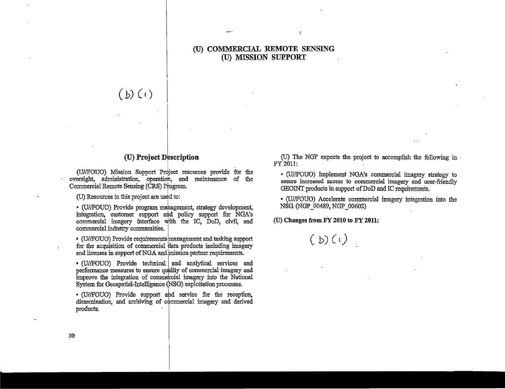### **(U) COMMERCIAL REMOTE SENSING (U) MISSION SUPPORT**

 $\mathbf{r}$ 

 $(b)$   $(i)$ 

### (0) **Project Description**

(U//FOUO) Mission Support Project resources provide for the oversight, administration, operation, and maintenance of the Commercial Remote Sensing (CRS) Program.

(U) Resources in this project are used to:

• (U//FOUO) Provide program mahagement, strategy development, integration, customer support and policy support for NGA's commercial imagery interface with the IC, DoD, civil, and commercial industry communities.

• (U/fFOUO) Provide requirementslmanagement and tasking support for the acquisition of commercial data products including imagery and licenses in support of NGA and mission partner requirements.

• (U/IFOUO) Provide technical. and analytical. services and performance measures to ensure quality of commercial imagery and improve the integration of commercial imagery into the National System for Geospatial-Intelligence (NSG) exploitation processes.

• (U/IFOUO) Provide support ahd service for the reception, dissemination, and archiving of commercial imagery and derived products.

(U) The NGP expects the project to accomplish the following in FY2011:

• (U/IFOUO) Implement NOA's commercial imagery strategy to assure increased access to commercial imagery and user-friendly GEOINT products in support of DoD and IC requirements.

• (U/IFOUO) Accelerate commercial imagery integration into the NSG (NGP\_00489, NGP\_00602)

(U) Changes **from FY 2010 to FY 2011:** 

 $(b)(i)$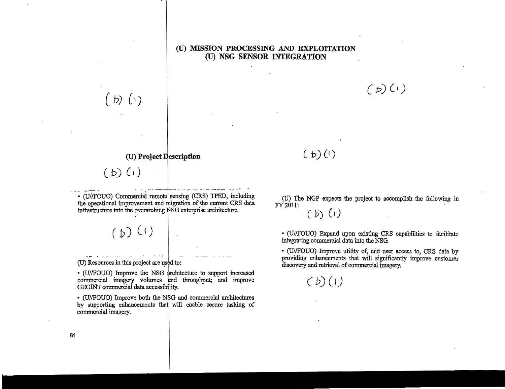### (U) **MISSION PROCESSING AND EXPLOITATION (U) NSG SENSOR INTEGRATION**

 $(b)$   $(i)$ 

# **(U) Project Description**

 $(b)$   $(i)$ 

• (U//FOUO) Commercial remote sensing (CRS) TPED, including the operational improvement and migration of the current CRS data infrastructure into the overarching NSG enterprise architecture.

 $(D)$  (1)

 $(U)$  Resources in this project are used to:

• (U//FOUO) Improve the NSG architecture to support increased commercial imagery volumes and throughput; and improve GEOINT commercial data accessibility.

• (U//FOUO) Improve both the N\$G and commercial architectures by supporting enhancements that will enable secure tasking of commercial imagery.

 $(b)$   $(c)$ 

# $(L,b)(l)$

(U) The NGP expects the project to accomplish the following in FY201l:

 $(f)$  $(f)$ 

• (U//FOUO) Expand upon existing CRS capabilities to facilitate integrating commercial data into the NSG

• (3JIIFOUO) Improve utility of, arid user access to, CRS data by providing enhancements that will significantly improve customer discovery and retrieval of commercial imagery.



61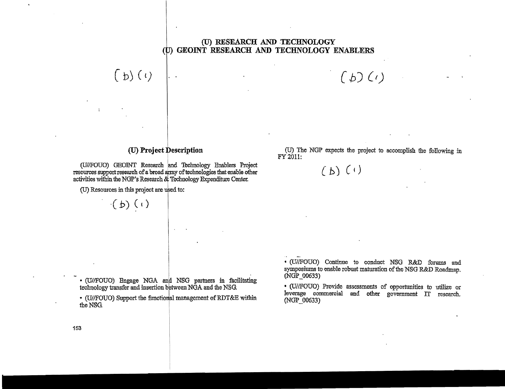### (U) RESEARCH AND TECHNOLOGY (b) GEOINT RESEARCH AND TECHNOLOGY ENABLERS

# (U) Project Description

(U//FOUO) GEOINT Research and Technology Enablers Project resources support research of a broad array of technologies that enable other activities within the NGP's Research & Technology Expenditure Center.

(U) Resources in this project are used to:

 $(b)(i)$ 

 $\mathbf{I}$ 

 $\cdot (b)$  (c)

· (U//FOUO) Engage NGA and NSG partners in facilitating technology transfer and insertion between NGA and the NSG.

• (U//FOUO) Support the functional management of RDT&E within the NSG.

(U) The NGP expects the project to accomplish the following in FY 2011:

 $(D)(i)$ 

 $(b)$   $(i)$ 

• (U//FOUO) Continue to conduct NSG R&D forums and symposiums to enable robust maturation of the NSG R&D Roadman. (NGP 00633)

· (U//FOUO) Provide assessments of opportunities to utilize or leverage commercial and other government IT research. (NGP 00633)